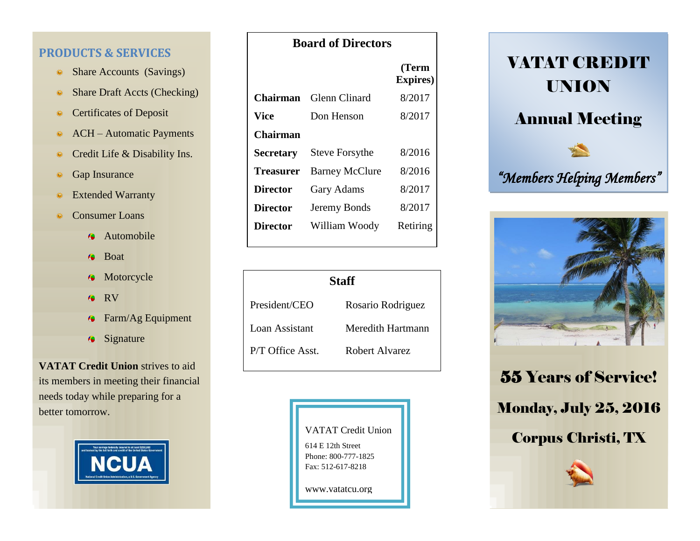#### **PRODUCTS & SERVICES**

- Share Accounts (Savings) 豢
- Share Draft Accts (Checking) 豢
- Certificates of Deposit 豢
- ACH Automatic Payments 燊
- Credit Life & Disability Ins. ö
- Gap Insurance
- Extended Warranty 豢
- Consumer Loans 豢
	- Automobile  $\bullet$
	- Boat Æ
	- **Motorcycle**
	- RV Æ
	- Farm/Ag Equipment  $\bullet$
	- $\ddot{\bullet}$ Signature

**VATAT Credit Union** strives to aid its members in meeting their financial needs today while preparing for a better tomorrow.



|                  |                       | (Term<br><b>Expires</b> ) |
|------------------|-----------------------|---------------------------|
| Chairman         | Glenn Clinard         | 8/2017                    |
| Vice             | Don Henson            | 8/2017                    |
| Chairman         |                       |                           |
| <b>Secretary</b> | <b>Steve Forsythe</b> | 8/2016                    |
| Treasurer        | <b>Barney McClure</b> | 8/2016                    |
| <b>Director</b>  | <b>Gary Adams</b>     | 8/2017                    |
| <b>Director</b>  | Jeremy Bonds          | 8/2017                    |
| Director         | William Woody         | Retiring                  |

| Staff            |                   |  |  |
|------------------|-------------------|--|--|
| President/CEO    | Rosario Rodriguez |  |  |
| Loan Assistant   | Meredith Hartmann |  |  |
| P/T Office Asst. | Robert Alvarez    |  |  |







55 Years of Service! Monday, July 25, 2016 Corpus Christi, TX



#### **Board of Directors**